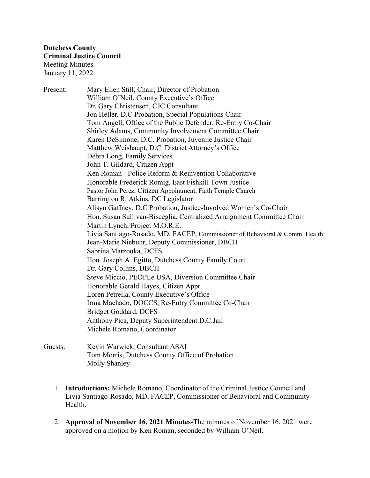Present: Mary Ellen Still, Chair, Director of Probation William O'Neil, County Executive's Office Dr. Gary Christensen, CJC Consultant Jon Heller, D.C Probation, Special Populations Chair Tom Angell, Office of the Public Defender, Re-Entry Co-Chair Shirley Adams, Community Involvement Committee Chair Karen DeSimone, D.C. Probation, Juvenile Justice Chair Matthew Weishaupt, D.C. District Attorney's Office Debra Long, Family Services John T. Gildard, Citizen Appt Ken Roman - Police Reform & Reinvention Collaborative Honorable Frederick Romig, East Fishkill Town Justice Pastor John Perez, Citizen Appointment, Faith Temple Church Barrington R. Atkins, DC Legislator Alisyn Gaffney, D.C Probation, Justice-Involved Women's Co-Chair Hon. Susan Sullivan-Bisceglia, Centralized Arraignment Committee Chair Martin Lynch, Project M.O.R.E. Livia Santiago-Rosado, MD, FACEP, Commissioner of Behavioral & Comm. Health Jean-Marie Niebuhr, Deputy Commissioner, DBCH Sabrina Marzouka, DCFS Hon. Joseph A. Egitto, Dutchess County Family Court Dr. Gary Collins, DBCH Steve Miccio, PEOPLe USA, Diversion Committee Chair Honorable Gerald Hayes, Citizen Appt Loren Petrella, County Executive's Office Irma Machado, DOCCS, Re-Entry Committee Co-Chair Bridget Goddard, DCFS Anthony Pica, Deputy Superintendent D.C.Jail Michele Romano, Coordinator

- Guests: Kevin Warwick, Consultant ASAI Tom Morris, Dutchess County Office of Probation Molly Shanley
	- 1. **Introductions:** Michele Romano, Coordinator of the Criminal Justice Council and Livia Santiago-Rosado, MD, FACEP, Commissioner of Behavioral and Community Health.
	- 2. **Approval of November 16, 2021 Minutes**-The minutes of November 16, 2021 were approved on a motion by Ken Roman, seconded by William O'Neil.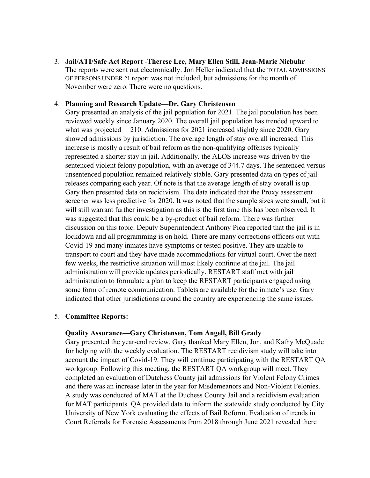3. **Jail/ATI/Safe Act Report** -**Therese Lee, Mary Ellen Still, Jean-Marie Niebuhr**  The reports were sent out electronically. Jon Heller indicated that the TOTAL ADMISSIONS OF PERSONS UNDER 21 report was not included, but admissions for the month of November were zero. There were no questions.

# 4. **Planning and Research Update—Dr. Gary Christensen**

Gary presented an analysis of the jail population for 2021. The jail population has been reviewed weekly since January 2020. The overall jail population has trended upward to what was projected— 210. Admissions for 2021 increased slightly since 2020. Gary showed admissions by jurisdiction. The average length of stay overall increased. This increase is mostly a result of bail reform as the non-qualifying offenses typically represented a shorter stay in jail. Additionally, the ALOS increase was driven by the sentenced violent felony population, with an average of 344.7 days. The sentenced versus unsentenced population remained relatively stable. Gary presented data on types of jail releases comparing each year. Of note is that the average length of stay overall is up. Gary then presented data on recidivism. The data indicated that the Proxy assessment screener was less predictive for 2020. It was noted that the sample sizes were small, but it will still warrant further investigation as this is the first time this has been observed. It was suggested that this could be a by-product of bail reform. There was further discussion on this topic. Deputy Superintendent Anthony Pica reported that the jail is in lockdown and all programming is on hold. There are many corrections officers out with Covid-19 and many inmates have symptoms or tested positive. They are unable to transport to court and they have made accommodations for virtual court. Over the next few weeks, the restrictive situation will most likely continue at the jail. The jail administration will provide updates periodically. RESTART staff met with jail administration to formulate a plan to keep the RESTART participants engaged using some form of remote communication. Tablets are available for the inmate's use. Gary indicated that other jurisdictions around the country are experiencing the same issues.

## 5. **Committee Reports:**

## **Quality Assurance—Gary Christensen, Tom Angell, Bill Grady**

Gary presented the year-end review. Gary thanked Mary Ellen, Jon, and Kathy McQuade for helping with the weekly evaluation. The RESTART recidivism study will take into account the impact of Covid-19. They will continue participating with the RESTART QA workgroup. Following this meeting, the RESTART QA workgroup will meet. They completed an evaluation of Dutchess County jail admissions for Violent Felony Crimes and there was an increase later in the year for Misdemeanors and Non-Violent Felonies. A study was conducted of MAT at the Duchess County Jail and a recidivism evaluation for MAT participants. QA provided data to inform the statewide study conducted by City University of New York evaluating the effects of Bail Reform. Evaluation of trends in Court Referrals for Forensic Assessments from 2018 through June 2021 revealed there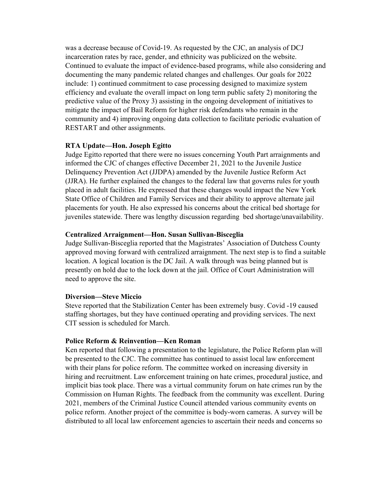was a decrease because of Covid-19. As requested by the CJC, an analysis of DCJ incarceration rates by race, gender, and ethnicity was publicized on the website. Continued to evaluate the impact of evidence-based programs, while also considering and documenting the many pandemic related changes and challenges. Our goals for 2022 include: 1) continued commitment to case processing designed to maximize system efficiency and evaluate the overall impact on long term public safety 2) monitoring the predictive value of the Proxy 3) assisting in the ongoing development of initiatives to mitigate the impact of Bail Reform for higher risk defendants who remain in the community and 4) improving ongoing data collection to facilitate periodic evaluation of RESTART and other assignments.

## **RTA Update—Hon. Joseph Egitto**

Judge Egitto reported that there were no issues concerning Youth Part arraignments and informed the CJC of changes effective December 21, 2021 to the Juvenile Justice Delinquency Prevention Act (JJDPA) amended by the Juvenile Justice Reform Act (JJRA). He further explained the changes to the federal law that governs rules for youth placed in adult facilities. He expressed that these changes would impact the New York State Office of Children and Family Services and their ability to approve alternate jail placements for youth. He also expressed his concerns about the critical bed shortage for juveniles statewide. There was lengthy discussion regarding bed shortage/unavailability.

## **Centralized Arraignment—Hon. Susan Sullivan-Bisceglia**

Judge Sullivan-Bisceglia reported that the Magistrates' Association of Dutchess County approved moving forward with centralized arraignment. The next step is to find a suitable location. A logical location is the DC Jail. A walk through was being planned but is presently on hold due to the lock down at the jail. Office of Court Administration will need to approve the site.

#### **Diversion—Steve Miccio**

Steve reported that the Stabilization Center has been extremely busy. Covid -19 caused staffing shortages, but they have continued operating and providing services. The next CIT session is scheduled for March.

#### **Police Reform & Reinvention—Ken Roman**

Ken reported that following a presentation to the legislature, the Police Reform plan will be presented to the CJC. The committee has continued to assist local law enforcement with their plans for police reform. The committee worked on increasing diversity in hiring and recruitment. Law enforcement training on hate crimes, procedural justice, and implicit bias took place. There was a virtual community forum on hate crimes run by the Commission on Human Rights. The feedback from the community was excellent. During 2021, members of the Criminal Justice Council attended various community events on police reform. Another project of the committee is body-worn cameras. A survey will be distributed to all local law enforcement agencies to ascertain their needs and concerns so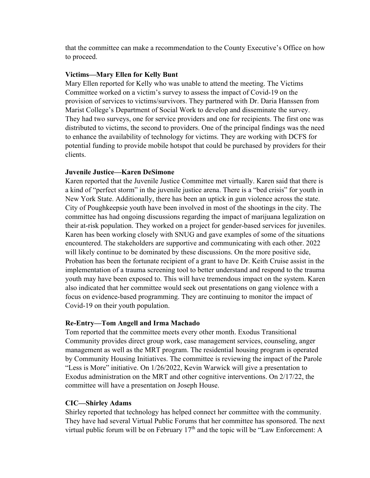that the committee can make a recommendation to the County Executive's Office on how to proceed.

## **Victims—Mary Ellen for Kelly Bunt**

Mary Ellen reported for Kelly who was unable to attend the meeting. The Victims Committee worked on a victim's survey to assess the impact of Covid-19 on the provision of services to victims/survivors. They partnered with Dr. Daria Hanssen from Marist College's Department of Social Work to develop and disseminate the survey. They had two surveys, one for service providers and one for recipients. The first one was distributed to victims, the second to providers. One of the principal findings was the need to enhance the availability of technology for victims. They are working with DCFS for potential funding to provide mobile hotspot that could be purchased by providers for their clients.

## **Juvenile Justice—Karen DeSimone**

Karen reported that the Juvenile Justice Committee met virtually. Karen said that there is a kind of "perfect storm" in the juvenile justice arena. There is a "bed crisis" for youth in New York State. Additionally, there has been an uptick in gun violence across the state. City of Poughkeepsie youth have been involved in most of the shootings in the city. The committee has had ongoing discussions regarding the impact of marijuana legalization on their at-risk population. They worked on a project for gender-based services for juveniles. Karen has been working closely with SNUG and gave examples of some of the situations encountered. The stakeholders are supportive and communicating with each other. 2022 will likely continue to be dominated by these discussions. On the more positive side, Probation has been the fortunate recipient of a grant to have Dr. Keith Cruise assist in the implementation of a trauma screening tool to better understand and respond to the trauma youth may have been exposed to. This will have tremendous impact on the system. Karen also indicated that her committee would seek out presentations on gang violence with a focus on evidence-based programming. They are continuing to monitor the impact of Covid-19 on their youth population.

## **Re-Entry—Tom Angell and Irma Machado**

Tom reported that the committee meets every other month. Exodus Transitional Community provides direct group work, case management services, counseling, anger management as well as the MRT program. The residential housing program is operated by Community Housing Initiatives. The committee is reviewing the impact of the Parole "Less is More" initiative. On 1/26/2022, Kevin Warwick will give a presentation to Exodus administration on the MRT and other cognitive interventions. On 2/17/22, the committee will have a presentation on Joseph House.

## **CIC—Shirley Adams**

Shirley reported that technology has helped connect her committee with the community. They have had several Virtual Public Forums that her committee has sponsored. The next virtual public forum will be on February  $17<sup>th</sup>$  and the topic will be "Law Enforcement: A